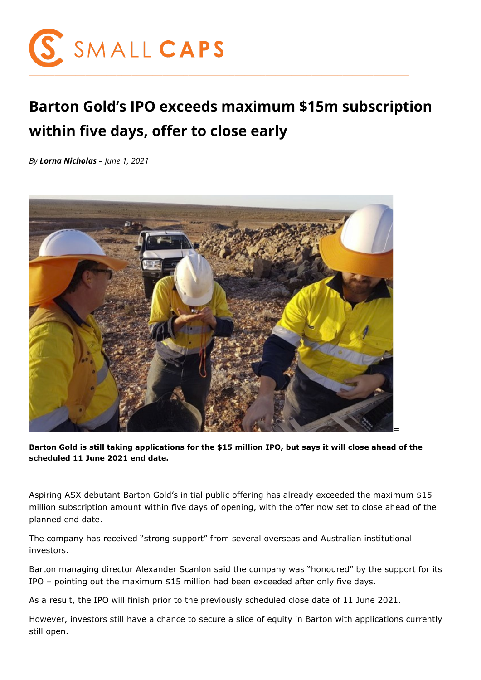

## **Barton Gold's IPO exceeds maximum \$15m subscription within five days, offer to close early**

*By Lorna Nicholas – June 1, 2021*



**Barton Gold is still taking applications for the \$15 million IPO, but says it will close ahead of the scheduled 11 June 2021 end date.**

Aspiring ASX debutant Barton Gold's initial public offering has already exceeded the maximum \$15 million subscription amount within five days of opening, with the offer now set to close ahead of the planned end date.

The company has received "strong support" from several overseas and Australian institutional investors.

Barton managing director Alexander Scanlon said the company was "honoured" by the support for its IPO – pointing out the maximum \$15 million had been exceeded after only five days.

As a result, the IPO will finish prior to the previously scheduled close date of 11 June 2021.

However, investors still have a chance to secure a slice of equity in Barton with applications currently still open.